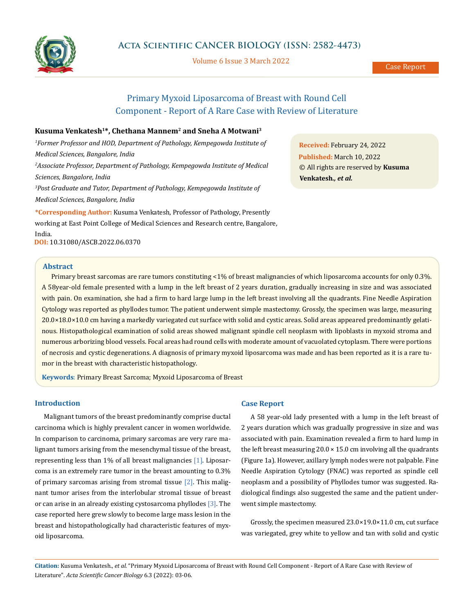

Volume 6 Issue 3 March 2022

# Primary Myxoid Liposarcoma of Breast with Round Cell Component - Report of A Rare Case with Review of Literature

# **Kusuma Venkatesh<sup>1</sup>\*, Chethana Mannem<sup>2</sup> and Sneha A Motwani<sup>3</sup>**

*<sup>1</sup>Former Professor and HOD, Department of Pathology, Kempegowda Institute of Medical Sciences, Bangalore, India <sup>2</sup>Associate Professor, Department of Pathology, Kempegowda Institute of Medical Sciences, Bangalore, India <sup>3</sup>Post Graduate and Tutor, Department of Pathology, Kempegowda Institute of Medical Sciences, Bangalore, India*

**\*Corresponding Author:** Kusuma Venkatesh, Professor of Pathology, Presently working at East Point College of Medical Sciences and Research centre, Bangalore, India. **DOI:** [10.31080/ASCB.2022.06.0370](https://actascientific.com/ASCB/pdf/ASCB-06-0370.pdf)

**Received:** February 24, 2022 **Published:** March 10, 2022 © All rights are reserved by **Kusuma Venkatesh***., et al.* 

# **Abstract**

Primary breast sarcomas are rare tumors constituting <1% of breast malignancies of which liposarcoma accounts for only 0.3%. A 58year-old female presented with a lump in the left breast of 2 years duration, gradually increasing in size and was associated with pain. On examination, she had a firm to hard large lump in the left breast involving all the quadrants. Fine Needle Aspiration Cytology was reported as phyllodes tumor. The patient underwent simple mastectomy. Grossly, the specimen was large, measuring 20.0×18.0×10.0 cm having a markedly variegated cut surface with solid and cystic areas. Solid areas appeared predominantly gelatinous. Histopathological examination of solid areas showed malignant spindle cell neoplasm with lipoblasts in myxoid stroma and numerous arborizing blood vessels. Focal areas had round cells with moderate amount of vacuolated cytoplasm. There were portions of necrosis and cystic degenerations. A diagnosis of primary myxoid liposarcoma was made and has been reported as it is a rare tumor in the breast with characteristic histopathology.

**Keywords**: Primary Breast Sarcoma; Myxoid Liposarcoma of Breast

#### **Introduction**

Malignant tumors of the breast predominantly comprise ductal carcinoma which is highly prevalent cancer in women worldwide. In comparison to carcinoma, primary sarcomas are very rare malignant tumors arising from the mesenchymal tissue of the breast, representing less than 1% of all breast malignancies [1]. Liposarcoma is an extremely rare tumor in the breast amounting to 0.3% of primary sarcomas arising from stromal tissue [2]. This malignant tumor arises from the interlobular stromal tissue of breast or can arise in an already existing cystosarcoma phyllodes [3]. The case reported here grew slowly to become large mass lesion in the breast and histopathologically had characteristic features of myxoid liposarcoma.

#### **Case Report**

A 58 year-old lady presented with a lump in the left breast of 2 years duration which was gradually progressive in size and was associated with pain. Examination revealed a firm to hard lump in the left breast measuring  $20.0 \times 15.0$  cm involving all the quadrants (Figure 1a). However, axillary lymph nodes were not palpable. Fine Needle Aspiration Cytology (FNAC) was reported as spindle cell neoplasm and a possibility of Phyllodes tumor was suggested. Radiological findings also suggested the same and the patient underwent simple mastectomy.

Grossly, the specimen measured 23.0×19.0×11.0 cm, cut surface was variegated, grey white to yellow and tan with solid and cystic

**Citation:** Kusuma Venkatesh., *et al.* "Primary Myxoid Liposarcoma of Breast with Round Cell Component - Report of A Rare Case with Review of Literature". *Acta Scientific Cancer Biology* 6.3 (2022): 03-06.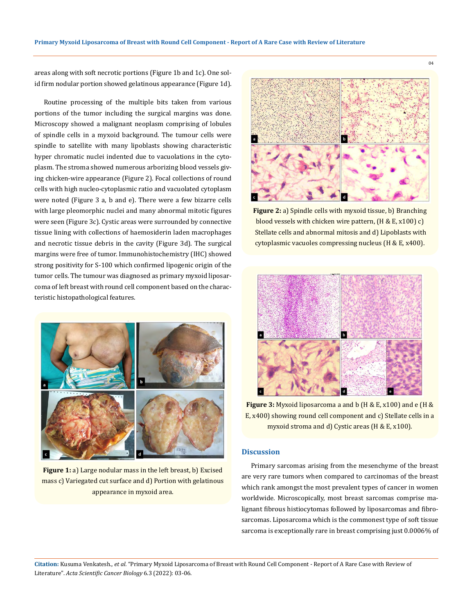areas along with soft necrotic portions (Figure 1b and 1c). One solid firm nodular portion showed gelatinous appearance (Figure 1d).

Routine processing of the multiple bits taken from various portions of the tumor including the surgical margins was done. Microscopy showed a malignant neoplasm comprising of lobules of spindle cells in a myxoid background. The tumour cells were spindle to satellite with many lipoblasts showing characteristic hyper chromatic nuclei indented due to vacuolations in the cytoplasm. The stroma showed numerous arborizing blood vessels giving chicken-wire appearance (Figure 2). Focal collections of round cells with high nucleo-cytoplasmic ratio and vacuolated cytoplasm were noted (Figure 3 a, b and e). There were a few bizarre cells with large pleomorphic nuclei and many abnormal mitotic figures were seen (Figure 3c). Cystic areas were surrounded by connective tissue lining with collections of haemosiderin laden macrophages and necrotic tissue debris in the cavity (Figure 3d). The surgical margins were free of tumor. Immunohistochemistry (IHC) showed strong positivity for S-100 which confirmed lipogenic origin of the tumor cells. The tumour was diagnosed as primary myxoid liposarcoma of left breast with round cell component based on the characteristic histopathological features.



**Figure 1:** a) Large nodular mass in the left breast, b) Excised mass c) Variegated cut surface and d) Portion with gelatinous appearance in myxoid area.



**Figure 2:** a) Spindle cells with myxoid tissue, b) Branching blood vessels with chicken wire pattern, (H & E, x100) c) Stellate cells and abnormal mitosis and d) Lipoblasts with cytoplasmic vacuoles compressing nucleus (H & E, x400).



**Figure 3:** Myxoid liposarcoma a and b (H & E, x100) and e (H & E, x400) showing round cell component and c) Stellate cells in a myxoid stroma and d) Cystic areas (H & E, x100).

#### **Discussion**

Primary sarcomas arising from the mesenchyme of the breast are very rare tumors when compared to carcinomas of the breast which rank amongst the most prevalent types of cancer in women worldwide. Microscopically, most breast sarcomas comprise malignant fibrous histiocytomas followed by liposarcomas and fibrosarcomas. Liposarcoma which is the commonest type of soft tissue sarcoma is exceptionally rare in breast comprising just 0.0006% of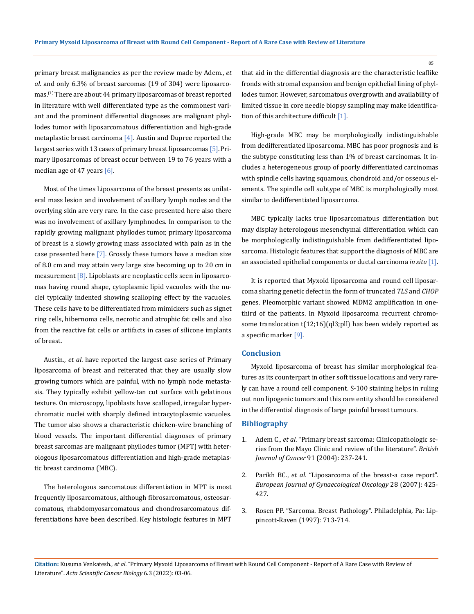primary breast malignancies as per the review made by Adem., *et al.* and only 6.3% of breast sarcomas (19 of 304) were liposarcomas.(1) There are about 44 primary liposarcomas of breast reported in literature with well differentiated type as the commonest variant and the prominent differential diagnoses are malignant phyllodes tumor with liposarcomatous differentiation and high-grade metaplastic breast carcinoma  $[4]$ . Austin and Dupree reported the largest series with 13 cases of primary breast liposarcomas [5]. Primary liposarcomas of breast occur between 19 to 76 years with a median age of 47 years [6].

Most of the times Liposarcoma of the breast presents as unilateral mass lesion and involvement of axillary lymph nodes and the overlying skin are very rare. In the case presented here also there was no involvement of axillary lymphnodes. In comparison to the rapidly growing malignant phyllodes tumor, primary liposarcoma of breast is a slowly growing mass associated with pain as in the case presented here  $[7]$ . Grossly these tumors have a median size of 8.0 cm and may attain very large size becoming up to 20 cm in measurement [8]. Lipoblasts are neoplastic cells seen in liposarcomas having round shape, cytoplasmic lipid vacuoles with the nuclei typically indented showing scalloping effect by the vacuoles. These cells have to be differentiated from mimickers such as signet ring cells, hibernoma cells, necrotic and atrophic fat cells and also from the reactive fat cells or artifacts in cases of silicone implants of breast.

Austin., *et al*. have reported the largest case series of Primary liposarcoma of breast and reiterated that they are usually slow growing tumors which are painful, with no lymph node metastasis. They typically exhibit yellow-tan cut surface with gelatinous texture. On microscopy, lipoblasts have scalloped, irregular hyperchromatic nuclei with sharply defined intracytoplasmic vacuoles. The tumor also shows a characteristic chicken-wire branching of blood vessels. The important differential diagnoses of primary breast sarcomas are malignant phyllodes tumor (MPT) with heterologous liposarcomatous differentiation and high-grade metaplastic breast carcinoma (MBC).

The heterologous sarcomatous differentiation in MPT is most frequently liposarcomatous, although fibrosarcomatous, osteosarcomatous, rhabdomyosarcomatous and chondrosarcomatous differentiations have been described. Key histologic features in MPT that aid in the differential diagnosis are the characteristic leaflike fronds with stromal expansion and benign epithelial lining of phyllodes tumor. However, sarcomatous overgrowth and availability of limited tissue in core needle biopsy sampling may make identification of this architecture difficult [1].

High-grade MBC may be morphologically indistinguishable from dedifferentiated liposarcoma. MBC has poor prognosis and is the subtype constituting less than 1% of breast carcinomas. It includes a heterogeneous group of poorly differentiated carcinomas with spindle cells having squamous, chondroid and/or osseous elements. The spindle cell subtype of MBC is morphologically most similar to dedifferentiated liposarcoma.

MBC typically lacks true liposarcomatous differentiation but may display heterologous mesenchymal differentiation which can be morphologically indistinguishable from dedifferentiated liposarcoma. Histologic features that support the diagnosis of MBC are an associated epithelial components or ductal carcinoma *in situ* [1].

It is reported that Myxoid liposarcoma and round cell liposarcoma sharing genetic defect in the form of truncated *TLS* and *CHOP*  genes. Pleomorphic variant showed MDM2 amplification in onethird of the patients. In Myxoid liposarcoma recurrent chromosome translocation t(12;16)(ql3;pll) has been widely reported as a specific marker [9].

#### **Conclusion**

Myxoid liposarcoma of breast has similar morphological features as its counterpart in other soft tissue locations and very rarely can have a round cell component. S-100 staining helps in ruling out non lipogenic tumors and this rare entity should be considered in the differential diagnosis of large painful breast tumours.

### **Bibliography**

- 1. Adem C., *et al*[. "Primary breast sarcoma: Clinicopathologic se](https://pubmed.ncbi.nlm.nih.gov/15187996/)[ries from the Mayo Clinic and review of the literature".](https://pubmed.ncbi.nlm.nih.gov/15187996/) *British Journal of Cancer* [91 \(2004\): 237-241.](https://pubmed.ncbi.nlm.nih.gov/15187996/)
- 2. Parikh BC., *et al*[. "Liposarcoma of the breast-a case report".](https://pubmed.ncbi.nlm.nih.gov/17966230/) *[European Journal of Gynaecological Oncology](https://pubmed.ncbi.nlm.nih.gov/17966230/)* 28 (2007): 425- [427.](https://pubmed.ncbi.nlm.nih.gov/17966230/)
- 3. Rosen PP. "Sarcoma. Breast Pathology". Philadelphia, Pa: Lippincott-Raven (1997): 713-714.

**Citation:** Kusuma Venkatesh., *et al.* "Primary Myxoid Liposarcoma of Breast with Round Cell Component - Report of A Rare Case with Review of Literature". *Acta Scientific Cancer Biology* 6.3 (2022): 03-06.

05